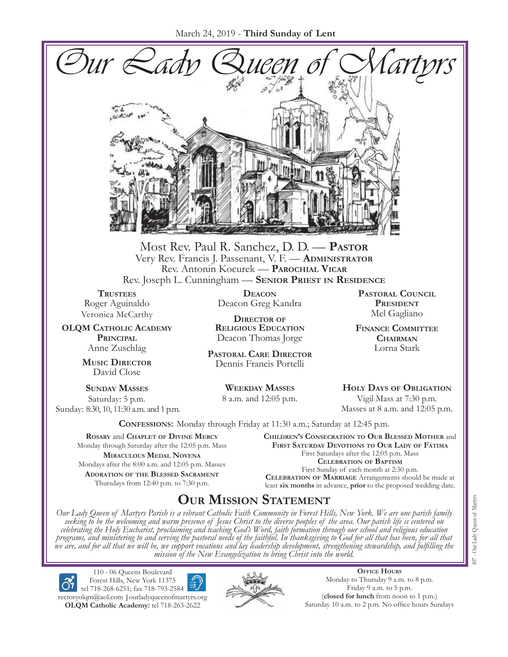

Most Rev. Paul R. Sanchez, D. D. — **Pastor** Very Rev. Francis J. Passenant, V. F. — **Administrator** Rev. Antonin Kocurek — **Parochial Vicar** Rev. Joseph L. Cunningham — **Senior Priest in Residence**

**TRUSTEES** Roger Aguinaldo Veronica McCarthy

**OLQM Catholic Academy Principal** Anne Zuschlag

> **Music Director** David Close

**Sunday Masses** Saturday: 5 p.m. Sunday: 8:30, 10, 11:30 a.m. and 1 p.m.

**Deacon** Deacon Greg Kandra

**Director of Religious Education** Deacon Thomas Jorge

**Pastoral Care Director** Dennis Francis Portelli

> **Weekday Masses** 8 a.m. and 12:05 p.m.

**Pastoral Council President** Mel Gagliano

**Finance Committee Chairman** Lorna Stark

**Holy Days of Obligation** Vigil Mass at 7:30 p.m. Masses at 8 a.m. and 12:05 p.m.

**Confessions:** Monday through Friday at 11:30 a.m.; Saturday at 12:45 p.m.

**Rosary** and **Chaplet of Divine Mercy** Monday through Saturday after the 12:05 p.m. Mass **Miraculous Medal Novena** Mondays after the 8:00 a.m. and 12:05 p.m. Masses **Adoration of the Blessed Sacrament** Thursdays from 12:40 p.m. to 7:30 p.m.

**Children's Consecration to Our Blessed Mother** and **First Saturday Devotions to Our Lady of Fátima** First Saturdays after the 12:05 p.m. Mass **Celebration of Baptism** First Sunday of each month at 2:30 p.m. **Celebration of Marriage** Arrangements should be made at least **six months** in advance, **prior** to the proposed wedding date.

# **Our Mission Statement**

Our Lady Queen of Martyrs Parish is a vibrant Catholic Faith Community in Forest Hills, New York. We are one parish family<br>seeking to be the welcoming and warm presence of Jesus Christ to the diverse peoples of the area. O *celebrating the Holy Eucharist, proclaiming and teaching God's Word, faith formation through our school and religious education*  programs, and ministering to and serving the pastoral needs of the faithful. In thanksgiving to God for all that has been, for all that<br>we are, and for all that we will be, we support vocations and lay leadership developme *mission of the New Evangelization to bring Christ into the world.*

110 - 06 Queens Boulevard Forest Hills, New York 11375 tel 718-268-6251; fax 718-793-2584 rectoryolqm@aol.com **|**ourladyqueenofmartyrs.org **OLQM Catholic Academy:** tel 718-263-2622



**Office Hours** Monday to Thursday 9 a.m. to 8 p.m. Friday 9 a.m. to 5 p.m. (**closed for lunch** from noon to 1 p.m.) Saturday 10 a.m. to 2 p.m. No office hours Sundays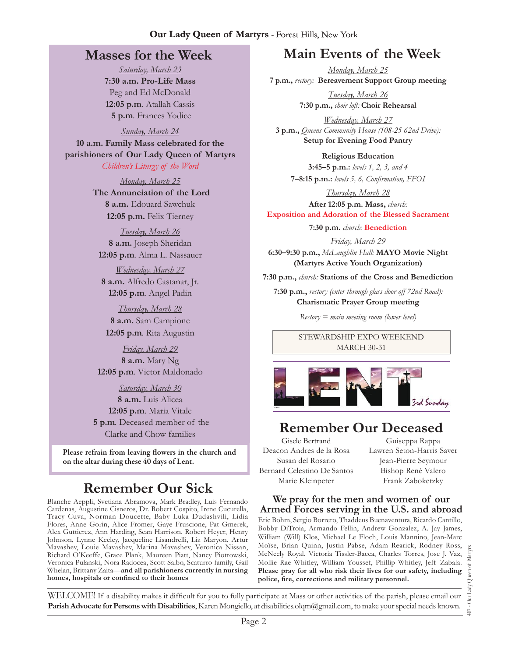## **Masses for the Week**

*Saturday, March 23* **7:30 a.m. Pro-Life Mass** Peg and Ed McDonald **12:05 p.m***.* Atallah Cassis **5 p.m***.* Frances Yodice

*Sunday, March 24* **10 a.m. Family Mass celebrated for the parishioners of Our Lady Queen of Martyrs** *Children's Liturgy of the Word*

> *Monday, March 25*  **The Annunciation of the Lord 8 a.m.** Edouard Sawchuk **12:05 p.m.** Felix Tierney

*Tuesday, March 26* **8 a.m.** Joseph Sheridan **12:05 p.m***.* Alma L. Nassauer

*Wednesday, March 27* **8 a.m.** Alfredo Castanar, Jr. **12:05 p.m***.* Angel Padin

*Thursday, March 28* **8 a.m.** Sam Campione **12:05 p.m***.* Rita Augustin

*Friday, March 29* **8 a.m.** Mary Ng **12:05 p.m***.* Victor Maldonado

*Saturday, March 30* **8 a.m.** Luis Alicea **12:05 p.m***.* Maria Vitale **5 p.m***.* Deceased member of the Clarke and Chow families

Please refrain from leaving flowers in the church and on the altar during these 40 days of Lent.

# **Remember Our Sick**

Blanche Aeppli, Svetiana Abramova, Mark Bradley, Luis Fernando Cardenas, Augustine Cisneros, Dr. Robert Cospito, Irene Cucurella, Tracy Cuva, Norman Doucette, Baby Luka Dudashvili, Lidia Flores, Anne Gorin, Alice Fromer, Gaye Fruscione, Pat Gmerek, Alex Guttierez, Ann Harding, Sean Harrison, Robert Heyer, Henry Johnson, Lynne Keeley, Jacqueline Lisandrelli, Liz Maryon, Artur Mavashev, Louie Mavashev, Marina Mavashev, Veronica Nissan, Richard O'Keeffe, Grace Plank, Maureen Piatt, Nancy Piotrowski, Veronica Pulanski, Nora Radocea, Scott Salbo, Scaturro family, Gail Whelan, Brittany Zaita—**and all parishioners currently in nursing homes, hospitals or confined to their homes**

# **Main Events of the Week**

*Monday, March 25* **7 p.m.,** *rectory:* **Bereavement Support Group meeting**

> *Tuesday, March 26* **7:30 p.m.,** *choir loft:* **Choir Rehearsal**

*Wednesday, March 27* **3 p.m.,** *Queens Community House (108-25 62nd Drive):*  **Setup for Evening Food Pantry** 

**Religious Education 3:45–5 p.m.:** *levels 1, 2, 3, and 4*  **7–8:15 p.m.:** *levels 5, 6, Confirmation, FFO  I*

*Thursday, March 28* **After 12:05 p.m. Mass,** *church:*  **Exposition and Adoration of the Blessed Sacrament**

**7:30 p.m.** *church:* **Benediction** 

*Friday, March 29* **6:30–9:30 p.m.,** *McLaughlin Hall:* **MAYO Movie Night (Martyrs Active Youth Organization)** 

**7:30 p.m.,** *church:* **Stations of the Cross and Benediction**

**7:30 p.m.,** *rectory (enter through glass door off 72nd Road):* **Charismatic Prayer Group meeting**

*Rectory = main meeting room (lower level)*

Stewardship Expo Weekend **MARCH 30-31** 



# **Remember Our Deceased**

Gisele Bertrand Deacon Andres de la Rosa Susan del Rosario Bernard Celestino De Santos Marie Kleinpeter

Guiseppa Rappa Lawren Seton-Harris Saver Jean-Pierre Seymour Bishop René Valero Frank Zaboketzky

#### **We pray for the men and women of our Armed Forces serving in the U.S. and abroad**

Eric Böhm, Sergio Borrero, Thaddeus Buenaventura, Ricardo Cantillo, Bobby DiTroia, Armando Fellin, Andrew Gonzalez, A. Jay James, William (Will) Klos, Michael Le Floch, Louis Mannino, Jean-Marc Moïse, Brian Quinn, Justin Pabse, Adam Rearick, Rodney Ross, McNeely Royal, Victoria Tissler-Bacca, Charles Torres, Jose J. Vaz, Mollie Rae Whitley, William Youssef, Phillip Whitley, Jeff Zabala. **Please pray for all who risk their lives for our safety, including police, fire, corrections and military personnel.**

Queen of Martyrs 407 - Our Lady Queen of Martyrs 407 - Our Lady

WELCOME! If a disability makes it difficult for you to fully participate at Mass or other activities of the parish, please email our **Parish Advocate for Persons with Disabilities**, Karen Mongiello, at disabilities.olqm@gmail.com, to make your special needs known.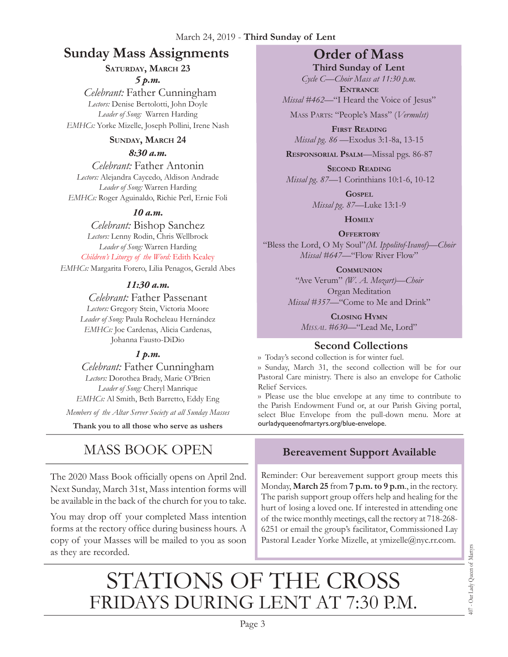# **Sunday Mass Assignments Order of Mass**

# **Saturday, March 23**

*5 p.m.* 

 *Celebrant:* Father Cunningham Lectors: Denise Bertolotti, John Doyle *Leader of Song:* Warren Harding *EMHCs:* Yorke Mizelle, Joseph Pollini, Irene Nash

#### **Sunday, March 24**

*8:30 a.m.* 

*Celebrant:* Father Antonin *Lectors:* Alejandra Caycedo, Aldison Andrade *Leader of Song:* Warren Harding *EMHCs:* Roger Aguinaldo, Richie Perl, Ernie Foli

#### *10 a.m.*

*Celebrant:* Bishop Sanchez *Lectors:* Lenny Rodin, Chris Wellbrock *Leader of Song:* Warren Harding *Children's Liturgy of the Word:* Edith Kealey *EMHCs:* Margarita Forero, Lilia Penagos, Gerald Abes

#### *11:30 a.m.*

*Celebrant:* Father Passenant *Lectors:* Gregory Stein, Victoria Moore *Leader of Song:* Paula Rocheleau Hernández *EMHCs:* Joe Cardenas, Alicia Cardenas, Johanna Fausto-DiDio

#### *1 p.m.*

*Celebrant:* Father Cunningham *Lectors:* Dorothea Brady, Marie O'Brien *Leader of Song:* Cheryl Manrique *EMHCs:* Al Smith, Beth Barretto, Eddy Eng

*Members of the Altar Server Society at all Sunday Masses*

**Thank you to all those who serve as ushers**

# MASS BOOK OPEN

The 2020 Mass Book officially opens on April 2nd. Next Sunday, March 31st, Mass intention forms will be available in the back of the church for you to take.

You may drop off your completed Mass intention forms at the rectory office during business hours. A copy of your Masses will be mailed to you as soon as they are recorded.

**Third Sunday of Lent** *Cycle C—Choir Mass at 11:30 p.m.*  **Entrance**

*Missal* #462—"I Heard the Voice of Jesus"

Mass Parts: "People's Mass" (*Vermulst)*

**First Reading** *Missal pg. 86 —*Exodus 3:1-8a, 13-15

**Responsorial Psalm**—Missal pgs. 86-87

**Second Reading** *Missal pg. 87—*1 Corinthians 10:1-6, 10-12

> **Gospel** *Missal pg. 87—*Luke 13:1-9

> > **Homily**

**Offertory** "Bless the Lord, O My Soul"*(M. Ippolitof-Ivanof)—Choir Missal #647—*"Flow River Flow"

> **Communion** "Ave Verum" *(W. A. Mozart)—Choir* Organ Meditation *Missal #357—*"Come to Me and Drink"

**Closing Hymn** *Missal #630—*"Lead Me, Lord"

### **Second Collections**

›› Today's second collection is for winter fuel.

›› Sunday, March 31, the second collection will be for our Pastoral Care ministry. There is also an envelope for Catholic Relief Services.

›› Please use the blue envelope at any time to contribute to the Parish Endowment Fund or, at our Parish Giving portal, select Blue Envelope from the pull-down menu. More at ourladyqueenofmartyrs.org/blue-envelope.

# **Bereavement Support Available**

Reminder: Our bereavement support group meets this Monday, **March 25** from **7 p.m. to 9 p.m**., in the rectory. The parish support group offers help and healing for the hurt of losing a loved one. If interested in attending one of the twice monthly meetings, call the rectory at 718-268- 6251 or email the group's facilitator, Commissioned Lay Pastoral Leader Yorke Mizelle, at ymizelle@nyc.rr.com.

# STATIONS OF THE CROSS<br>FRIDAYS DURING LENT AT 7:30 P.M.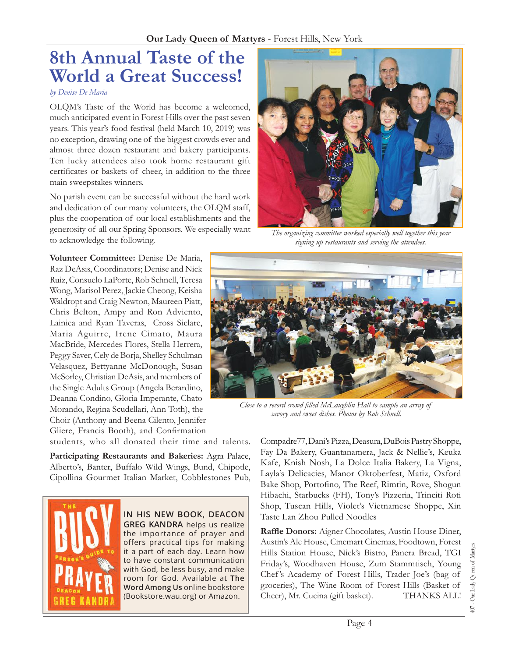# **8th Annual Taste of the World a Great Success!**

#### *by Denise De Maria*

OLQM's Taste of the World has become a welcomed, much anticipated event in Forest Hills over the past seven years. This year's food festival (held March 10, 2019) was no exception, drawing one of the biggest crowds ever and almost three dozen restaurant and bakery participants. Ten lucky attendees also took home restaurant gift certificates or baskets of cheer, in addition to the three main sweepstakes winners.

No parish event can be successful without the hard work and dedication of our many volunteers, the OLQM staff, plus the cooperation of our local establishments and the generosity of all our Spring Sponsors. We especially want to acknowledge the following.

**Volunteer Committee:** Denise De Maria, Raz DeAsis, Coordinators; Denise and Nick Ruiz, Consuelo LaPorte, Rob Schnell, Teresa Wong, Marisol Perez, Jackie Cheong, Keisha Waldropt and Craig Newton, Maureen Piatt, Chris Belton, Ampy and Ron Adviento, Lainiea and Ryan Taveras, Cross Siclare, Maria Aguirre, Irene Cimato, Maura MacBride, Mercedes Flores, Stella Herrera, Peggy Saver, Cely de Borja, Shelley Schulman Velasquez, Bettyanne McDonough, Susan McSorley, Christian DeAsis, and members of the Single Adults Group (Angela Berardino, Deanna Condino, Gloria Imperante, Chato Morando, Regina Scudellari, Ann Toth), the Choir (Anthony and Beena Cilento, Jennifer Gliere, Francis Booth), and Confirmation

students, who all donated their time and talents.

**Participating Restaurants and Bakeries:** Agra Palace, Alberto's, Banter, Buffalo Wild Wings, Bund, Chipotle, Cipollina Gourmet Italian Market, Cobblestones Pub,



**In his new book, Deacon Greg Kandra** helps us realize the importance of prayer and offers practical tips for making it a part of each day. Learn how to have constant communication with God, be less busy, and make room for God. Available at **The Word Among Us** online bookstore (Bookstore.wau.org) or Amazon.



*The organizing committee worked especially well together this year signing up restaurants and serving the attendees.* 



*Close to a record crowd filled McLaughlin Hall to sample an array of savory and sweet dishes. Photos by Rob Schnell.*

Compadre77, Dani's Pizza, Deasura, DuBois Pastry Shoppe, Fay Da Bakery, Guantanamera, Jack & Nellie's, Keuka Kafe, Knish Nosh, La Dolce Italia Bakery, La Vigna, Layla's Delicacies, Manor Oktoberfest, Matiz, Oxford Bake Shop, Portofino, The Reef, Rimtin, Rove, Shogun Hibachi, Starbucks (FH), Tony's Pizzeria, Trinciti Roti Shop, Tuscan Hills, Violet's Vietnamese Shoppe, Xin Taste Lan Zhou Pulled Noodles

**Raffle Donors:** Aigner Chocolates, Austin House Diner, Austin's Ale House, Cinemart Cinemas, Foodtown, Forest Hills Station House, Nick's Bistro, Panera Bread, TGI Friday's, Woodhaven House, Zum Stammtisch, Young Chef 's Academy of Forest Hills, Trader Joe's (bag of groceries), The Wine Room of Forest Hills (Basket of Cheer), Mr. Cucina (gift basket). THANKS ALL!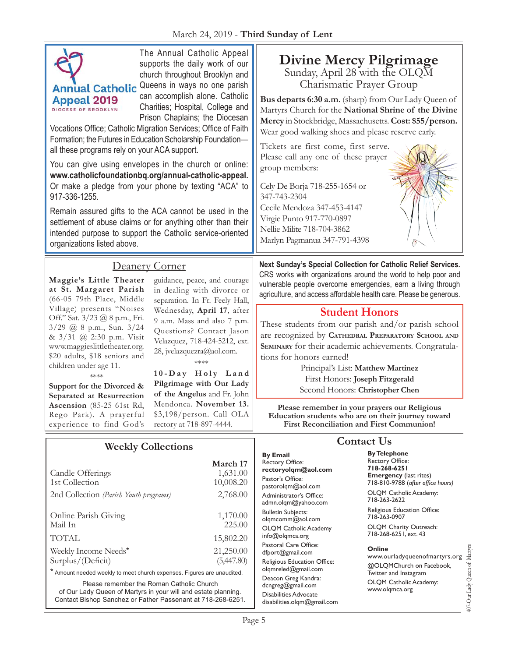| March 24, 2019 - Third Sunday of Lent                                                                                                                                                                                                                                                                                                                                                                                                                                                                                                                                                                                                                                                                                                                                                                                                                                                                               |                                                                                                                                                                                                                                                                                                                                                                                                                                                |                                                                                                                                                                                                                                                                                                                                                                                                                                                                                                                                                                                                          |                                                                                                                                                                                                                                                                                                                                                                                                                                                                                                                                                                                                                                                                                                                                         |  |
|---------------------------------------------------------------------------------------------------------------------------------------------------------------------------------------------------------------------------------------------------------------------------------------------------------------------------------------------------------------------------------------------------------------------------------------------------------------------------------------------------------------------------------------------------------------------------------------------------------------------------------------------------------------------------------------------------------------------------------------------------------------------------------------------------------------------------------------------------------------------------------------------------------------------|------------------------------------------------------------------------------------------------------------------------------------------------------------------------------------------------------------------------------------------------------------------------------------------------------------------------------------------------------------------------------------------------------------------------------------------------|----------------------------------------------------------------------------------------------------------------------------------------------------------------------------------------------------------------------------------------------------------------------------------------------------------------------------------------------------------------------------------------------------------------------------------------------------------------------------------------------------------------------------------------------------------------------------------------------------------|-----------------------------------------------------------------------------------------------------------------------------------------------------------------------------------------------------------------------------------------------------------------------------------------------------------------------------------------------------------------------------------------------------------------------------------------------------------------------------------------------------------------------------------------------------------------------------------------------------------------------------------------------------------------------------------------------------------------------------------------|--|
| The Annual Catholic Appeal<br>supports the daily work of our<br>church throughout Brooklyn and<br>Queens in ways no one parish<br><b>Annual Catholic</b><br>can accomplish alone. Catholic<br><b>Appeal 2019</b><br>Charities; Hospital, College and<br><b>DIOCESE OF BROOKLYN</b><br>Prison Chaplains; the Diocesan<br>Vocations Office; Catholic Migration Services; Office of Faith<br>Formation; the Futures in Education Scholarship Foundation-<br>all these programs rely on your ACA support.<br>You can give using envelopes in the church or online:<br>www.catholicfoundationbq.org/annual-catholic-appeal.<br>Or make a pledge from your phone by texting "ACA" to<br>917-336-1255.<br>Remain assured gifts to the ACA cannot be used in the<br>settlement of abuse claims or for anything other than their<br>intended purpose to support the Catholic service-oriented<br>organizations listed above. |                                                                                                                                                                                                                                                                                                                                                                                                                                                | <b>Divine Mercy Pilgrimage</b><br>Sunday, April 28 with the OLQM<br>Charismatic Prayer Group<br>Bus departs 6:30 a.m. (sharp) from Our Lady Queen of<br>Martyrs Church for the National Shrine of the Divine<br>Mercy in Stockbridge, Massachusetts. Cost: \$55/person.<br>Wear good walking shoes and please reserve early.<br>Tickets are first come, first serve.<br>Please call any one of these prayer<br>group members:<br>Cely De Borja 718-255-1654 or<br>347-743-2304<br>Cecile Mendoza 347-453-4147<br>Virgie Punto 917-770-0897<br>Nellie Milite 718-704-3862<br>Marlyn Pagmanua 347-791-4398 |                                                                                                                                                                                                                                                                                                                                                                                                                                                                                                                                                                                                                                                                                                                                         |  |
| Maggie's Little Theater<br>at St. Margaret Parish<br>(66-05 79th Place, Middle<br>Village) presents "Noises<br>Off." Sat. 3/23 @ 8 p.m., Fri.<br>3/29 @ 8 p.m., Sun. 3/24<br>& 3/31 @ 2:30 p.m. Visit<br>www.maggieslittletheater.org.<br>\$20 adults, \$18 seniors and<br>children under age 11.<br>****<br>Support for the Divorced &<br>Separated at Resurrection<br>Ascension (85-25 61st Rd,<br>Rego Park). A prayerful<br>experience to find God's                                                                                                                                                                                                                                                                                                                                                                                                                                                            | Deanery Corner<br>guidance, peace, and courage<br>in dealing with divorce or<br>separation. In Fr. Feely Hall,<br>Wednesday, April 17, after<br>9 a.m. Mass and also 7 p.m.<br>Questions? Contact Jason<br>Velazquez, 718-424-5212, ext.<br>28, jvelazquezra@aol.com.<br>****<br>10-Day Holy Land<br>Pilgrimage with Our Lady<br>of the Angelus and Fr. John<br>Mendonca. November 13.<br>\$3,198/person. Call OLA<br>rectory at 718-897-4444. | tions for honors earned!                                                                                                                                                                                                                                                                                                                                                                                                                                                                                                                                                                                 | Next Sunday's Special Collection for Catholic Relief Services.<br>CRS works with organizations around the world to help poor and<br>vulnerable people overcome emergencies, earn a living through<br>agriculture, and access affordable health care. Please be generous.<br><b>Student Honors</b><br>These students from our parish and/or parish school<br>are recognized by CATHEDRAL PREPARATORY SCHOOL AND<br>SEMINARY for their academic achievements. Congratula-<br>Principal's List: Matthew Martinez<br>First Honors: Joseph Fitzgerald<br>Second Honors: Christopher Chen<br>Please remember in your prayers our Religious<br>Education students who are on their journey toward<br>First Reconciliation and First Communion! |  |
| Candle Offerings<br>1st Collection<br>2nd Collection (Parish Youth programs)<br>Online Parish Giving<br>Mail In                                                                                                                                                                                                                                                                                                                                                                                                                                                                                                                                                                                                                                                                                                                                                                                                     | <b>Weekly Collections</b><br>March 17<br>1,631.00<br>10,008.20<br>2,768.00<br>1,170.00<br>225.00                                                                                                                                                                                                                                                                                                                                               | <b>By Email</b><br><b>Rectory Office:</b><br>rectoryolgm@aol.com<br>Pastor's Office:<br>pastorolgm@aol.com<br>Administrator's Office:<br>admn.olqm@yahoo.com<br><b>Bulletin Subjects:</b><br>olgmcomm@aol.com<br>OLQM Catholic Academy                                                                                                                                                                                                                                                                                                                                                                   | <b>Contact Us</b><br><b>By Telephone</b><br>Rectory Office:<br>718-268-6251<br><b>Emergency</b> (last rites)<br>718-810-9788 (after office hours)<br>OLQM Catholic Academy:<br>718-263-2622<br>Religious Education Office:<br>718-263-0907<br>OLQM Charity Outreach:                                                                                                                                                                                                                                                                                                                                                                                                                                                                    |  |
| <b>TOTAL</b>                                                                                                                                                                                                                                                                                                                                                                                                                                                                                                                                                                                                                                                                                                                                                                                                                                                                                                        | 15,802.20                                                                                                                                                                                                                                                                                                                                                                                                                                      | info@olqmca.org                                                                                                                                                                                                                                                                                                                                                                                                                                                                                                                                                                                          | 718-268-6251, ext. 43                                                                                                                                                                                                                                                                                                                                                                                                                                                                                                                                                                                                                                                                                                                   |  |

#### **Online**

407-Our Lady Queen of Martyrs 407-Our Lady Queen of Martyrs www.ourladyqueenofmartyrs.org @OLQMChurch on Facebook, Twitter and Instagram OLQM Catholic Academy: www.olqmca.org

Page 5

Weekly Income Needs\* 21,250.00<br>Surplus/(Deficit) (5,447.80)

\* Amount needed weekly to meet church expenses. Figures are unaudited. Please remember the Roman Catholic Church of Our Lady Queen of Martyrs in your will and estate planning. Contact Bishop Sanchez or Father Passenant at 718-268-6251.

Surplus/(Deficit)

Pastoral Care Office: dfport@gmail.com Religious Education Office: olqmreled@gmail.com Deacon Greg Kandra: dcngreg@gmail.com Disabilities Advocate disabilities.olqm@gmail.com